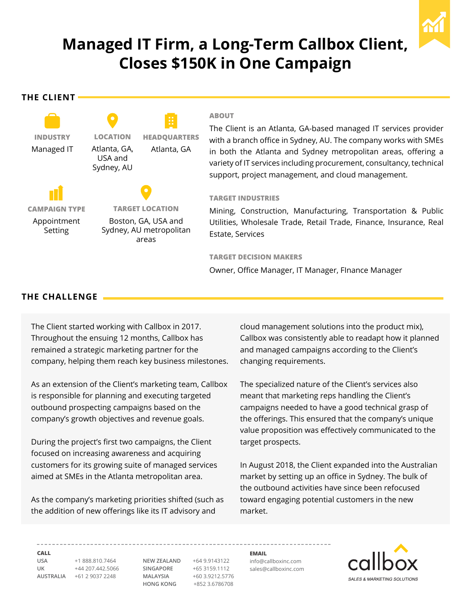

# **Managed IT Firm, a Long-Term Callbox Client, Closes \$150K in One Campaign**

**The Client**



# **ABOUT**

The Client is an Atlanta, GA-based managed IT services provider with a branch office in Sydney, AU. The company works with SMEs in both the Atlanta and Sydney metropolitan areas, offering a variety of IT services including procurement, consultancy, technical support, project management, and cloud management.

# **Target Industries**

Mining, Construction, Manufacturing, Transportation & Public Utilities, Wholesale Trade, Retail Trade, Finance, Insurance, Real Estate, Services

### **TARGET DECISION MAKERS**

Owner, Office Manager, IT Manager, FInance Manager

# **The CHALLENGE**

The Client started working with Callbox in 2017. Throughout the ensuing 12 months, Callbox has remained a strategic marketing partner for the company, helping them reach key business milestones.

As an extension of the Client's marketing team, Callbox is responsible for planning and executing targeted outbound prospecting campaigns based on the company's growth objectives and revenue goals.

During the project's first two campaigns, the Client focused on increasing awareness and acquiring customers for its growing suite of managed services aimed at SMEs in the Atlanta metropolitan area.

As the company's marketing priorities shifted (such as the addition of new offerings like its IT advisory and

cloud management solutions into the product mix), Callbox was consistently able to readapt how it planned and managed campaigns according to the Client's changing requirements.

The specialized nature of the Client's services also meant that marketing reps handling the Client's campaigns needed to have a good technical grasp of the offerings. This ensured that the company's unique value proposition was effectively communicated to the target prospects.

In August 2018, the Client expanded into the Australian market by setting up an office in Sydney. The bulk of the outbound activities have since been refocused toward engaging potential customers in the new market.

**Call**

**USA** +1 888.810.7464 **UK** +44 207.442.5066 **AUSTRALIA** +61 2 9037 2248

**NEW ZEALAND** +64 9.9143122 **SINGAPORE** +65 3159.1112 **MALAYSIA** +60 3.9212.5776 **HONG KONG** +852 3.6786708

**Email** info@callboxinc.com sales@callboxinc.com **SALES & MARKETING SOLUTIONS**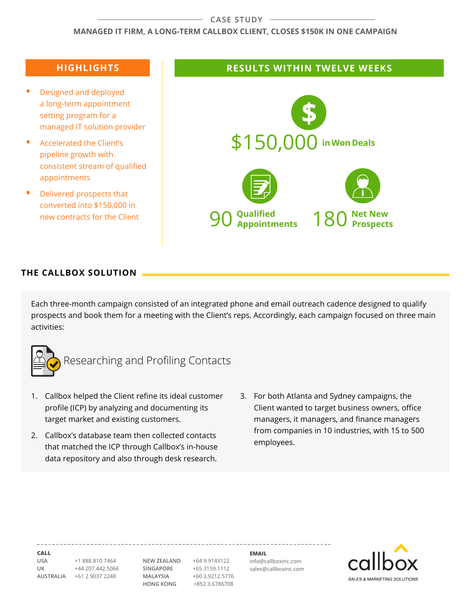#### **CASE STUDY**

### **Managed IT Firm, a Long-Term Callbox Client, Closes \$150K in One Campaign**

- **Designed and deployed** a long-term appointment setting program for a managed IT solution provider
- **•**  Accelerated the Client's pipeline growth with consistent stream of qualified appointments
- **Delivered prospects that** converted into \$150,000 in new contracts for the Client

# **Highlights Results within TWELVE weeks**



# **THE CALLBOX SOLUTION**

Each three-month campaign consisted of an integrated phone and email outreach cadence designed to qualify prospects and book them for a meeting with the Client's reps. Accordingly, each campaign focused on three main activities:



Researching and Profiling Contacts

- 1. Callbox helped the Client refine its ideal customer profile (ICP) by analyzing and documenting its target market and existing customers.
- 2. Callbox's database team then collected contacts that matched the ICP through Callbox's in-house data repository and also through desk research.
- 3. For both Atlanta and Sydney campaigns, the Client wanted to target business owners, office managers, it managers, and finance managers from companies in 10 industries, with 15 to 500 employees.

**Call**

**USA** +1 888.810.7464 **UK** +44 207.442.5066 **AUSTRALIA** +61 2 9037 2248

**NEW ZEALAND** +64 9.9143122 **SINGAPORE** +65 3159.1112 **MALAYSIA** +60 3.9212.5776 **HONG KONG** +852 3.6786708

**Email** info@callboxinc.com sales@callboxinc.com